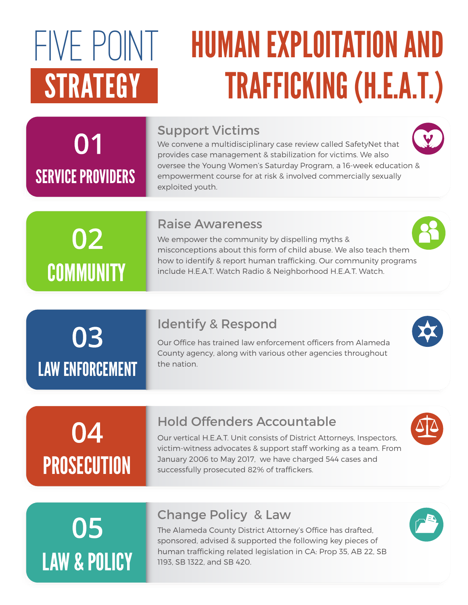# FIVE POINT

## HUMAN EXPLOITATION AND STRATEGY TRAFFICKING (H.E.A.T.)

## 01 SERVICE PROVIDERS

#### Support Victims

We convene a multidisciplinary case review called SafetyNet that provides case management & stabilization for victims. We also oversee the Young Women's Saturday Program, a 16-week education & empowerment course for at risk & involved commercially sexually exploited youth.

## 02 **COMMUNITY**

#### Raise Awareness

We empower the community by dispelling myths & misconceptions about this form of child abuse. We also teach them how to identify & report human trafficking. Our community programs include H.E.A.T. Watch Radio & Neighborhood H.E.A.T. Watch.

#### Identify & Respond

Our Office has trained law enforcement officers from Alameda County agency, along with various other agencies throughout the nation.

## 04 **PROSECUTION**

LAW ENFORCEMENT

03

#### Hold Offenders Accountable

Our vertical H.E.A.T. Unit consists of District Attorneys, Inspectors, victim-witness advocates & support staff working as a team. From January 2006 to May 2017, we have charged 544 cases and successfully prosecuted 82% of traffickers.

## 05 LAW & POLICY

#### Change Policy & Law

The Alameda County District Attorney's Office has drafted, sponsored, advised & supported the following key pieces of human trafficking related legislation in CA: Prop 35, AB 22, SB 1193, SB 1322, and SB 420.